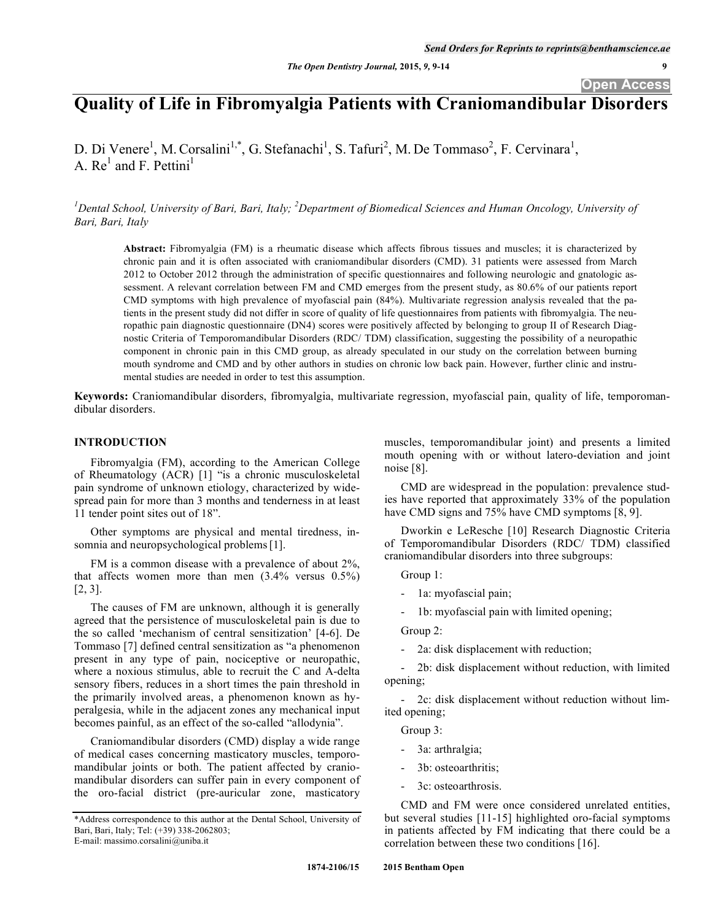# **Quality of Life in Fibromyalgia Patients with Craniomandibular Disorders**

D. Di Venere<sup>1</sup>, M. Corsalini<sup>1,\*</sup>, G. Stefanachi<sup>1</sup>, S. Tafuri<sup>2</sup>, M. De Tommaso<sup>2</sup>, F. Cervinara<sup>1</sup>, A.  $Re<sup>1</sup>$  and F. Pettini<sup>1</sup>

<sup>1</sup> Dental School, University of Bari, Bari, Italy; <sup>2</sup> Department of Biomedical Sciences and Human Oncology, University of *Bari, Bari, Italy*

**Abstract:** Fibromyalgia (FM) is a rheumatic disease which affects fibrous tissues and muscles; it is characterized by chronic pain and it is often associated with craniomandibular disorders (CMD). 31 patients were assessed from March 2012 to October 2012 through the administration of specific questionnaires and following neurologic and gnatologic assessment. A relevant correlation between FM and CMD emerges from the present study, as 80.6% of our patients report CMD symptoms with high prevalence of myofascial pain (84%). Multivariate regression analysis revealed that the patients in the present study did not differ in score of quality of life questionnaires from patients with fibromyalgia. The neuropathic pain diagnostic questionnaire (DN4) scores were positively affected by belonging to group II of Research Diagnostic Criteria of Temporomandibular Disorders (RDC/ TDM) classification, suggesting the possibility of a neuropathic component in chronic pain in this CMD group, as already speculated in our study on the correlation between burning mouth syndrome and CMD and by other authors in studies on chronic low back pain. However, further clinic and instrumental studies are needed in order to test this assumption.

**Keywords:** Craniomandibular disorders, fibromyalgia, multivariate regression, myofascial pain, quality of life, temporomandibular disorders.

# **INTRODUCTION**

Fibromyalgia (FM), according to the American College of Rheumatology (ACR) [1] "is a chronic musculoskeletal pain syndrome of unknown etiology, characterized by widespread pain for more than 3 months and tenderness in at least 11 tender point sites out of 18".

Other symptoms are physical and mental tiredness, insomnia and neuropsychological problems [1].

FM is a common disease with a prevalence of about 2%, that affects women more than men  $(3.4\% \text{ versus } 0.5\%)$ [2, 3].

The causes of FM are unknown, although it is generally agreed that the persistence of musculoskeletal pain is due to the so called 'mechanism of central sensitization' [4-6]. De Tommaso [7] defined central sensitization as "a phenomenon present in any type of pain, nociceptive or neuropathic, where a noxious stimulus, able to recruit the C and A-delta sensory fibers, reduces in a short times the pain threshold in the primarily involved areas, a phenomenon known as hyperalgesia, while in the adjacent zones any mechanical input becomes painful, as an effect of the so-called "allodynia".

Craniomandibular disorders (CMD) display a wide range of medical cases concerning masticatory muscles, temporomandibular joints or both. The patient affected by craniomandibular disorders can suffer pain in every component of the oro-facial district (pre-auricular zone, masticatory

muscles, temporomandibular joint) and presents a limited mouth opening with or without latero-deviation and joint noise [8].

CMD are widespread in the population: prevalence studies have reported that approximately 33% of the population have CMD signs and 75% have CMD symptoms [8, 9].

Dworkin e LeResche [10] Research Diagnostic Criteria of Temporomandibular Disorders (RDC/ TDM) classified craniomandibular disorders into three subgroups:

Group 1:

- 1a: myofascial pain;

1b: myofascial pain with limited opening;

Group 2:

2a: disk displacement with reduction;

- 2b: disk displacement without reduction, with limited opening;

- 2c: disk displacement without reduction without limited opening;

Group 3:

- 3a: arthralgia;
- 3b: osteoarthritis;
- 3c: osteoarthrosis.

CMD and FM were once considered unrelated entities, but several studies [11-15] highlighted oro-facial symptoms in patients affected by FM indicating that there could be a correlation between these two conditions [16].

<sup>\*</sup>Address correspondence to this author at the Dental School, University of Bari, Bari, Italy; Tel: (+39) 338-2062803; E-mail: massimo.corsalini@uniba.it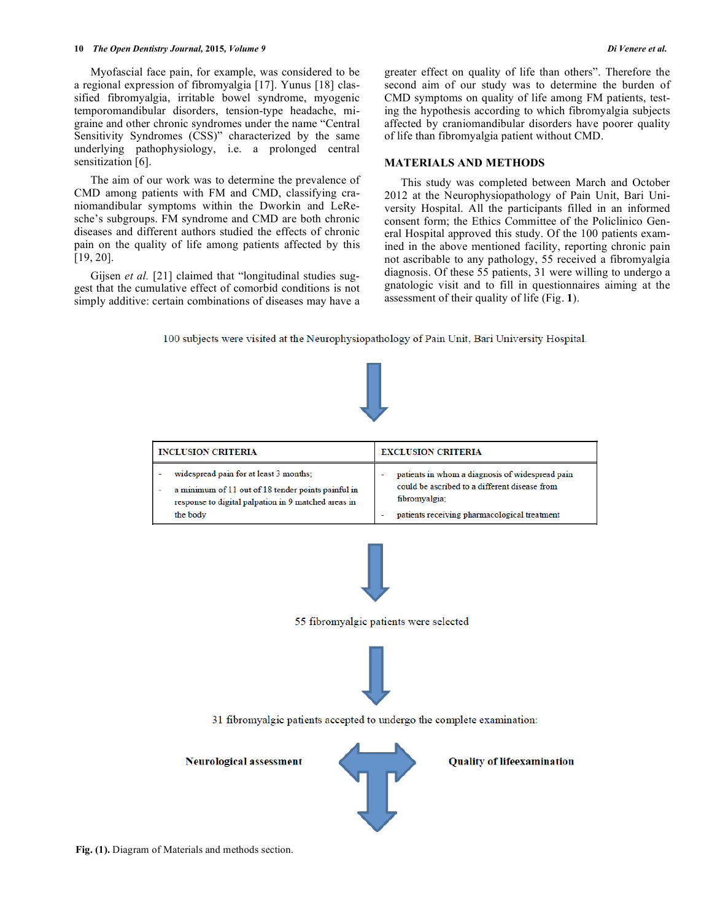#### **10** *The Open Dentistry Journal,* **2015***, Volume 9 Di Venere et al.*

Myofascial face pain, for example, was considered to be a regional expression of fibromyalgia [17]. Yunus [18] classified fibromyalgia, irritable bowel syndrome, myogenic temporomandibular disorders, tension-type headache, migraine and other chronic syndromes under the name "Central Sensitivity Syndromes (CSS)" characterized by the same underlying pathophysiology, i.e. a prolonged central sensitization [6].

The aim of our work was to determine the prevalence of CMD among patients with FM and CMD, classifying craniomandibular symptoms within the Dworkin and LeResche's subgroups. FM syndrome and CMD are both chronic diseases and different authors studied the effects of chronic pain on the quality of life among patients affected by this [19, 20].

Gijsen *et al.* [21] claimed that "longitudinal studies suggest that the cumulative effect of comorbid conditions is not simply additive: certain combinations of diseases may have a greater effect on quality of life than others". Therefore the second aim of our study was to determine the burden of CMD symptoms on quality of life among FM patients, testing the hypothesis according to which fibromyalgia subjects affected by craniomandibular disorders have poorer quality of life than fibromyalgia patient without CMD.

# **MATERIALS AND METHODS**

This study was completed between March and October 2012 at the Neurophysiopathology of Pain Unit, Bari University Hospital. All the participants filled in an informed consent form; the Ethics Committee of the Policlinico General Hospital approved this study. Of the 100 patients examined in the above mentioned facility, reporting chronic pain not ascribable to any pathology, 55 received a fibromyalgia diagnosis. Of these 55 patients, 31 were willing to undergo a gnatologic visit and to fill in questionnaires aiming at the assessment of their quality of life (Fig. **1**).

100 subjects were visited at the Neurophysiopathology of Pain Unit, Bari University Hospital.

| <b>INCLUSION CRITERIA</b>                           | <b>EXCLUSION CRITERIA</b>                       |
|-----------------------------------------------------|-------------------------------------------------|
| widespread pain for at least 3 months;              | patients in whom a diagnosis of widespread pain |
| a minimum of 11 out of 18 tender points painful in  | could be ascribed to a different disease from   |
| response to digital palpation in 9 matched areas in | fibromyalgia;                                   |
| the body                                            | patients receiving pharmacological treatment    |



55 fibromyalgic patients were selected



31 fibromyalgic patients accepted to undergo the complete examination:

**Neurological assessment** 



**Quality of lifeexamination**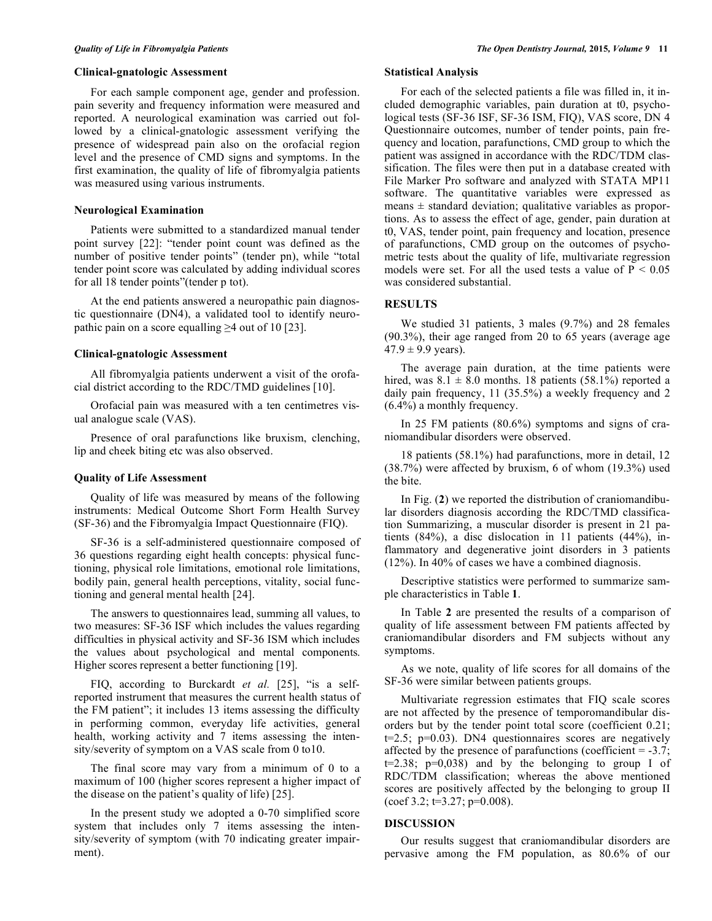#### **Clinical-gnatologic Assessment**

For each sample component age, gender and profession. pain severity and frequency information were measured and reported. A neurological examination was carried out followed by a clinical-gnatologic assessment verifying the presence of widespread pain also on the orofacial region level and the presence of CMD signs and symptoms. In the first examination, the quality of life of fibromyalgia patients was measured using various instruments.

# **Neurological Examination**

Patients were submitted to a standardized manual tender point survey [22]: "tender point count was defined as the number of positive tender points" (tender pn), while "total tender point score was calculated by adding individual scores for all 18 tender points"(tender p tot).

At the end patients answered a neuropathic pain diagnostic questionnaire (DN4), a validated tool to identify neuropathic pain on a score equalling  $\geq$  4 out of 10 [23].

# **Clinical-gnatologic Assessment**

All fibromyalgia patients underwent a visit of the orofacial district according to the RDC/TMD guidelines [10].

Orofacial pain was measured with a ten centimetres visual analogue scale (VAS).

Presence of oral parafunctions like bruxism, clenching, lip and cheek biting etc was also observed.

# **Quality of Life Assessment**

Quality of life was measured by means of the following instruments: Medical Outcome Short Form Health Survey (SF-36) and the Fibromyalgia Impact Questionnaire (FIQ).

SF-36 is a self-administered questionnaire composed of 36 questions regarding eight health concepts: physical functioning, physical role limitations, emotional role limitations, bodily pain, general health perceptions, vitality, social functioning and general mental health [24].

The answers to questionnaires lead, summing all values, to two measures: SF-36 ISF which includes the values regarding difficulties in physical activity and SF-36 ISM which includes the values about psychological and mental components. Higher scores represent a better functioning [19].

FIQ, according to Burckardt et al. [25], "is a selfreported instrument that measures the current health status of the FM patient"; it includes 13 items assessing the difficulty in performing common, everyday life activities, general health, working activity and 7 items assessing the intensity/severity of symptom on a VAS scale from 0 to10.

The final score may vary from a minimum of 0 to a maximum of 100 (higher scores represent a higher impact of the disease on the patient's quality of life) [25].

In the present study we adopted a 0-70 simplified score system that includes only 7 items assessing the intensity/severity of symptom (with 70 indicating greater impairment).

# **Statistical Analysis**

For each of the selected patients a file was filled in, it included demographic variables, pain duration at t0, psychological tests (SF-36 ISF, SF-36 ISM, FIQ), VAS score, DN 4 Questionnaire outcomes, number of tender points, pain frequency and location, parafunctions, CMD group to which the patient was assigned in accordance with the RDC/TDM classification. The files were then put in a database created with File Marker Pro software and analyzed with STATA MP11 software. The quantitative variables were expressed as means  $\pm$  standard deviation; qualitative variables as proportions. As to assess the effect of age, gender, pain duration at t0, VAS, tender point, pain frequency and location, presence of parafunctions, CMD group on the outcomes of psychometric tests about the quality of life, multivariate regression models were set. For all the used tests a value of  $P < 0.05$ was considered substantial.

# **RESULTS**

We studied 31 patients, 3 males (9.7%) and 28 females (90.3%), their age ranged from 20 to 65 years (average age  $47.9 \pm 9.9$  years).

The average pain duration, at the time patients were hired, was  $8.1 \pm 8.0$  months. 18 patients (58.1%) reported a daily pain frequency, 11 (35.5%) a weekly frequency and 2 (6.4%) a monthly frequency.

In 25 FM patients (80.6%) symptoms and signs of craniomandibular disorders were observed.

18 patients (58.1%) had parafunctions, more in detail, 12 (38.7%) were affected by bruxism, 6 of whom (19.3%) used the bite.

In Fig. (**2**) we reported the distribution of craniomandibular disorders diagnosis according the RDC/TMD classification Summarizing, a muscular disorder is present in 21 patients (84%), a disc dislocation in 11 patients (44%), inflammatory and degenerative joint disorders in 3 patients (12%). In 40% of cases we have a combined diagnosis.

Descriptive statistics were performed to summarize sample characteristics in Table **1**.

In Table **2** are presented the results of a comparison of quality of life assessment between FM patients affected by craniomandibular disorders and FM subjects without any symptoms.

As we note, quality of life scores for all domains of the SF-36 were similar between patients groups.

Multivariate regression estimates that FIQ scale scores are not affected by the presence of temporomandibular disorders but by the tender point total score (coefficient 0.21;  $t=2.5$ ;  $p=0.03$ ). DN4 questionnaires scores are negatively affected by the presence of parafunctions (coefficient  $= -3.7$ ;  $t=2.38$ ;  $p=0.038$ ) and by the belonging to group I of RDC/TDM classification; whereas the above mentioned scores are positively affected by the belonging to group II  $(\text{coef } 3.2; \text{t=3.27}; \text{p=0.008}).$ 

# **DISCUSSION**

Our results suggest that craniomandibular disorders are pervasive among the FM population, as 80.6% of our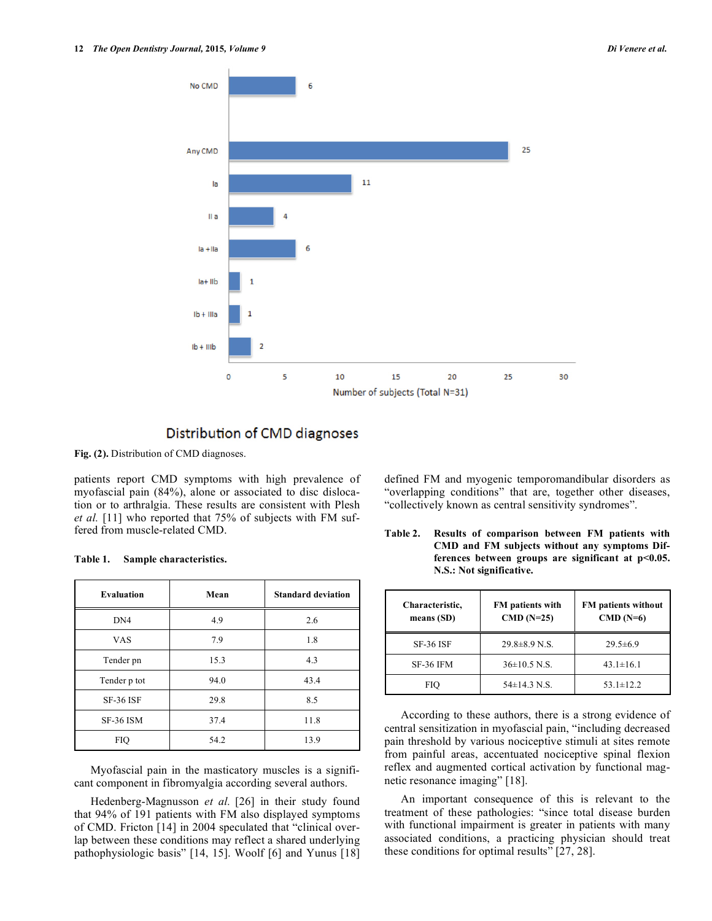

# Distribution of CMD diagnoses

**Fig. (2).** Distribution of CMD diagnoses.

patients report CMD symptoms with high prevalence of myofascial pain (84%), alone or associated to disc dislocation or to arthralgia. These results are consistent with Plesh *et al.* [11] who reported that 75% of subjects with FM suffered from muscle-related CMD.

| <b>Evaluation</b> | Mean | <b>Standard deviation</b> |
|-------------------|------|---------------------------|
| DN <sub>4</sub>   | 4.9  | 2.6                       |
| <b>VAS</b>        | 7.9  | 1.8                       |
| Tender pn         | 15.3 | 4.3                       |
| Tender p tot      | 94.0 | 43.4                      |
| <b>SF-36 ISF</b>  | 29.8 | 8.5                       |
| <b>SF-36 ISM</b>  | 37.4 | 11.8                      |
| <b>FIO</b>        | 54.2 | 13.9                      |

**Table 1. Sample characteristics.** 

Myofascial pain in the masticatory muscles is a significant component in fibromyalgia according several authors.

Hedenberg-Magnusson *et al.* [26] in their study found that 94% of 191 patients with FM also displayed symptoms of CMD. Fricton [14] in 2004 speculated that "clinical overlap between these conditions may reflect a shared underlying pathophysiologic basis" [14, 15]. Woolf [6] and Yunus [18] defined FM and myogenic temporomandibular disorders as "overlapping conditions" that are, together other diseases, "collectively known as central sensitivity syndromes".

**Table 2. Results of comparison between FM patients with CMD and FM subjects without any symptoms Differences between groups are significant at p<0.05. N.S.: Not significative.** 

| Characteristic,<br>means $(SD)$ | FM patients with<br>$CMD (N=25)$ | <b>FM</b> patients without<br>$CMD(N=6)$ |
|---------------------------------|----------------------------------|------------------------------------------|
| <b>SF-36 ISF</b>                | $29.8 \pm 8.9$ N.S.              | $29.5 \pm 6.9$                           |
| SF-36 IFM                       | $36\pm10.5$ N.S.                 | $43.1 \pm 16.1$                          |
| FIO                             | $54\pm14.3$ N.S.                 | $53.1 \pm 12.2$                          |

According to these authors, there is a strong evidence of central sensitization in myofascial pain, "including decreased pain threshold by various nociceptive stimuli at sites remote from painful areas, accentuated nociceptive spinal flexion reflex and augmented cortical activation by functional magnetic resonance imaging" [18].

An important consequence of this is relevant to the treatment of these pathologies: "since total disease burden with functional impairment is greater in patients with many associated conditions, a practicing physician should treat these conditions for optimal results" [27, 28].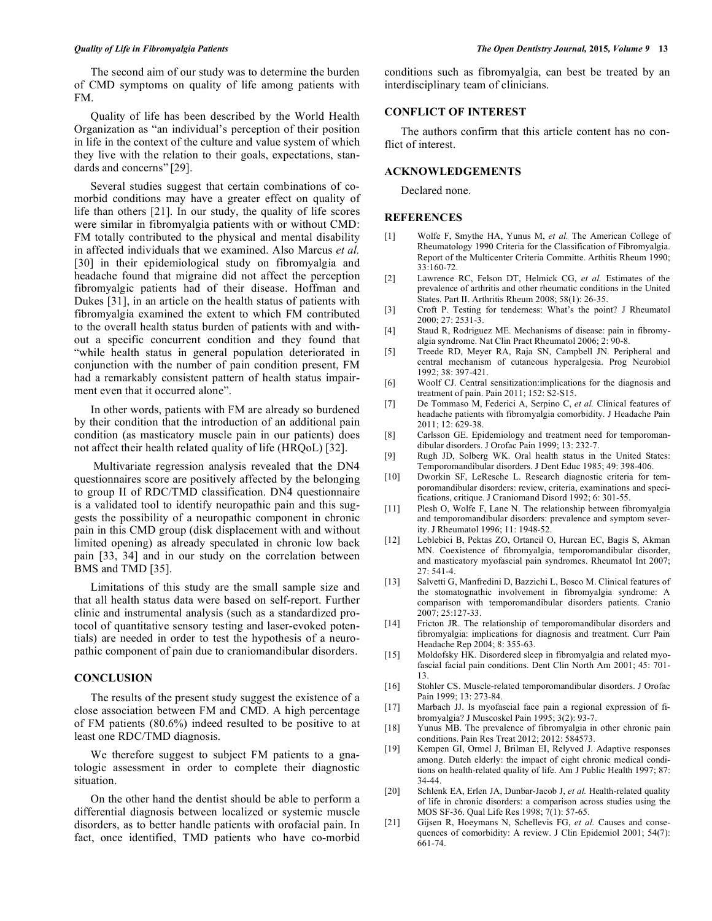The second aim of our study was to determine the burden of CMD symptoms on quality of life among patients with FM.

Quality of life has been described by the World Health Organization as "an individual's perception of their position in life in the context of the culture and value system of which they live with the relation to their goals, expectations, standards and concerns" [29].

Several studies suggest that certain combinations of comorbid conditions may have a greater effect on quality of life than others [21]. In our study, the quality of life scores were similar in fibromyalgia patients with or without CMD: FM totally contributed to the physical and mental disability in affected individuals that we examined. Also Marcus *et al.* [30] in their epidemiological study on fibromyalgia and headache found that migraine did not affect the perception fibromyalgic patients had of their disease. Hoffman and Dukes [31], in an article on the health status of patients with fibromyalgia examined the extent to which FM contributed to the overall health status burden of patients with and without a specific concurrent condition and they found that "while health status in general population deteriorated in conjunction with the number of pain condition present, FM had a remarkably consistent pattern of health status impairment even that it occurred alone".

In other words, patients with FM are already so burdened by their condition that the introduction of an additional pain condition (as masticatory muscle pain in our patients) does not affect their health related quality of life (HRQoL) [32].

 Multivariate regression analysis revealed that the DN4 questionnaires score are positively affected by the belonging to group II of RDC/TMD classification. DN4 questionnaire is a validated tool to identify neuropathic pain and this suggests the possibility of a neuropathic component in chronic pain in this CMD group (disk displacement with and without limited opening) as already speculated in chronic low back pain [33, 34] and in our study on the correlation between BMS and TMD [35].

Limitations of this study are the small sample size and that all health status data were based on self-report. Further clinic and instrumental analysis (such as a standardized protocol of quantitative sensory testing and laser-evoked potentials) are needed in order to test the hypothesis of a neuropathic component of pain due to craniomandibular disorders.

# **CONCLUSION**

The results of the present study suggest the existence of a close association between FM and CMD. A high percentage of FM patients (80.6%) indeed resulted to be positive to at least one RDC/TMD diagnosis.

We therefore suggest to subject FM patients to a gnatologic assessment in order to complete their diagnostic situation.

On the other hand the dentist should be able to perform a differential diagnosis between localized or systemic muscle disorders, as to better handle patients with orofacial pain. In fact, once identified, TMD patients who have co-morbid conditions such as fibromyalgia, can best be treated by an interdisciplinary team of clinicians.

# **CONFLICT OF INTEREST**

The authors confirm that this article content has no conflict of interest.

#### **ACKNOWLEDGEMENTS**

Declared none.

# **REFERENCES**

- [1] Wolfe F, Smythe HA, Yunus M, et al. The American College of Rheumatology 1990 Criteria for the Classification of Fibromyalgia. Report of the Multicenter Criteria Committe. Arthitis Rheum 1990; 33:160-72.
- [2] Lawrence RC, Felson DT, Helmick CG, *et al.* Estimates of the prevalence of arthritis and other rheumatic conditions in the United States. Part II. Arthritis Rheum 2008; 58(1): 26-35.
- [3] Croft P. Testing for tenderness: What's the point? J Rheumatol 2000; 27: 2531-3.
- [4] Staud R, Rodriguez ME. Mechanisms of disease: pain in fibromyalgia syndrome. Nat Clin Pract Rheumatol 2006; 2: 90-8.
- [5] Treede RD, Meyer RA, Raja SN, Campbell JN. Peripheral and central mechanism of cutaneous hyperalgesia. Prog Neurobiol 1992; 38: 397-421.
- [6] Woolf CJ. Central sensitization:implications for the diagnosis and treatment of pain. Pain 2011; 152: S2-S15.
- [7] De Tommaso M, Federici A, Serpino C, *et al.* Clinical features of headache patients with fibromyalgia comorbidity. J Headache Pain 2011; 12: 629-38.
- [8] Carlsson GE. Epidemiology and treatment need for temporomandibular disorders. J Orofac Pain 1999; 13: 232-7.
- [9] Rugh JD, Solberg WK. Oral health status in the United States: Temporomandibular disorders. J Dent Educ 1985; 49: 398-406.
- [10] Dworkin SF, LeResche L. Research diagnostic criteria for temporomandibular disorders: review, criteria, examinations and specifications, critique. J Craniomand Disord 1992; 6: 301-55.
- [11] Plesh O, Wolfe F, Lane N. The relationship between fibromyalgia and temporomandibular disorders: prevalence and symptom severity. J Rheumatol 1996; 11: 1948-52.
- [12] Leblebici B, Pektas ZO, Ortancil O, Hurcan EC, Bagis S, Akman MN. Coexistence of fibromyalgia, temporomandibular disorder, and masticatory myofascial pain syndromes. Rheumatol Int 2007; 27: 541-4.
- [13] Salvetti G, Manfredini D, Bazzichi L, Bosco M. Clinical features of the stomatognathic involvement in fibromyalgia syndrome: A comparison with temporomandibular disorders patients. Cranio 2007; 25:127-33.
- [14] Fricton JR. The relationship of temporomandibular disorders and fibromyalgia: implications for diagnosis and treatment. Curr Pain Headache Rep 2004; 8: 355-63.
- [15] Moldofsky HK. Disordered sleep in fibromyalgia and related myofascial facial pain conditions. Dent Clin North Am 2001; 45: 701- 13.
- [16] Stohler CS. Muscle-related temporomandibular disorders. J Orofac Pain 1999; 13: 273-84.
- [17] Marbach JJ. Is myofascial face pain a regional expression of fibromyalgia? J Muscoskel Pain 1995; 3(2): 93-7.
- [18] Yunus MB. The prevalence of fibromyalgia in other chronic pain conditions. Pain Res Treat 2012; 2012: 584573.
- [19] Kempen GI, Ormel J, Brilman EI, Relyved J. Adaptive responses among. Dutch elderly: the impact of eight chronic medical conditions on health-related quality of life. Am J Public Health 1997; 87: 34-44.
- [20] Schlenk EA, Erlen JA, Dunbar-Jacob J, et al. Health-related quality of life in chronic disorders: a comparison across studies using the MOS SF-36. Qual Life Res 1998; 7(1): 57-65.
- [21] Gijsen R, Hoeymans N, Schellevis FG, *et al.* Causes and consequences of comorbidity: A review. J Clin Epidemiol 2001; 54(7): 661-74.